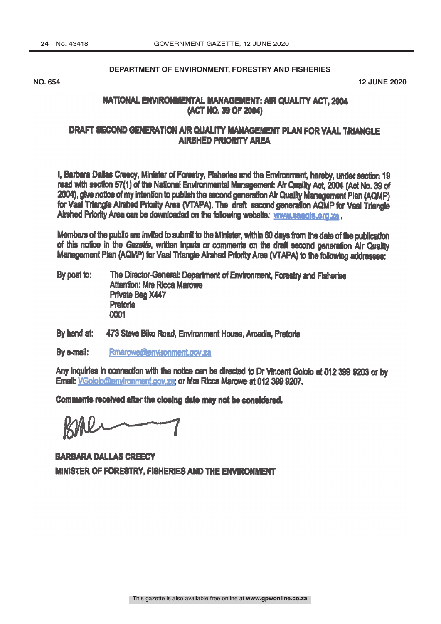DEPARTMENT OF ENVIRONMENT, FORESTRY AND FISHERIES

#### **DEPARTMENT OF ENVIRONMENT, FORESTRY AND FISHERIES**

NO. 2020 **NO. 654 12 JUNE 2020**

## NATIONAL ENVIRONMENTAL MANAGEMENT: AIR QUALITY ACT, 2004 (ACT NO.39 OF 2004)

# DRAFT SECOND GENERATION AIR QUALITY MANAGEMENT PLAN FOR VAAL TRIANGLE AIRSHED PRIORITY AREA

I, Barbara Dallas Crecy, Minister of Forestry, Fisheries and the Environment hereby, under section 19 read with section 57(1) of the National Environmental Management Air Quality Act, 2004 (Act No. 39 of 2004), give notice of my intention to publish the second generation Air Quality Management Plan (AQMP) for Veal Triangle Airshed Priority Area (VTAPA). The draft second generation AQMP for Vaal Triangle Airshed Priority Area can be downloaded on the following website: www.saagis.org.za.

Members of the public are Invited to submit to the Minister, within 60 days from the date of the publication of this notice in the Gazette, written Inputs or comments on the draft second generation Air Quality Management Plan (AQMP) for Vaal Triangle Airshed Priority Area (VTAPA) to the following addresses:

- By post to: The Director-General: Department of Environment, Forestry and Fisheries Attention: Mrs Ricca Marowe Private Bag X447 Pretoria 0001
- By hand at: 473 Steve Biko Road, Environment House, Arcadia, Pretoria

By e-mail: Rmarowe@environment.gov.za

Email: <u>VGololo@environment.gov.za;</u> or Mrs R**icca** Marowe at 012 399 9207. Any inquiries in connection with the notice can be directed to Dr Vincent Gololo at 012 399 9203 or by

Comments received after the closing date may not be considered.

BARBARA DALLAS CREECY MINISTER OF FORESTRY, FISHERIES AND THE ENVIRONMENT